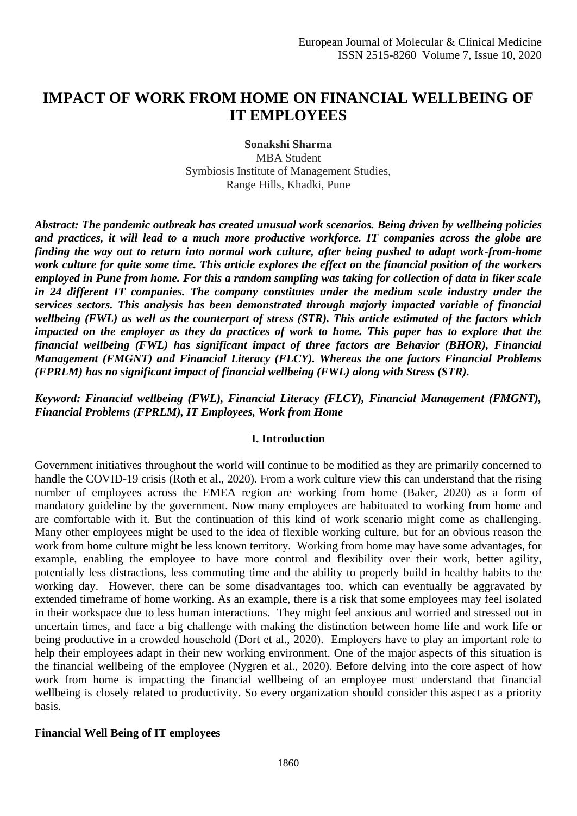# **IMPACT OF WORK FROM HOME ON FINANCIAL WELLBEING OF IT EMPLOYEES**

**Sonakshi Sharma** MBA Student Symbiosis Institute of Management Studies, Range Hills, Khadki, Pune

*Abstract: The pandemic outbreak has created unusual work scenarios. Being driven by wellbeing policies and practices, it will lead to a much more productive workforce. IT companies across the globe are finding the way out to return into normal work culture, after being pushed to adapt work-from-home work culture for quite some time. This article explores the effect on the financial position of the workers employed in Pune from home. For this a random sampling was taking for collection of data in liker scale in 24 different IT companies. The company constitutes under the medium scale industry under the services sectors. This analysis has been demonstrated through majorly impacted variable of financial wellbeing (FWL) as well as the counterpart of stress (STR). This article estimated of the factors which impacted on the employer as they do practices of work to home. This paper has to explore that the financial wellbeing (FWL) has significant impact of three factors are Behavior (BHOR), Financial Management (FMGNT) and Financial Literacy (FLCY). Whereas the one factors Financial Problems (FPRLM) has no significant impact of financial wellbeing (FWL) along with Stress (STR).* 

### *Keyword: Financial wellbeing (FWL), Financial Literacy (FLCY), Financial Management (FMGNT), Financial Problems (FPRLM), IT Employees, Work from Home*

### **I. Introduction**

Government initiatives throughout the world will continue to be modified as they are primarily concerned to handle the COVID-19 crisis (Roth et al., 2020). From a work culture view this can understand that the rising number of employees across the EMEA region are working from home (Baker, 2020) as a form of mandatory guideline by the government. Now many employees are habituated to working from home and are comfortable with it. But the continuation of this kind of work scenario might come as challenging. Many other employees might be used to the idea of flexible working culture, but for an obvious reason the work from home culture might be less known territory. Working from home may have some advantages, for example, enabling the employee to have more control and flexibility over their work, better agility, potentially less distractions, less commuting time and the ability to properly build in healthy habits to the working day. However, there can be some disadvantages too, which can eventually be aggravated by extended timeframe of home working. As an example, there is a risk that some employees may feel isolated in their workspace due to less human interactions. They might feel anxious and worried and stressed out in uncertain times, and face a big challenge with making the distinction between home life and work life or being productive in a crowded household (Dort et al., 2020). Employers have to play an important role to help their employees adapt in their new working environment. One of the major aspects of this situation is the financial wellbeing of the employee (Nygren et al., 2020). Before delving into the core aspect of how work from home is impacting the financial wellbeing of an employee must understand that financial wellbeing is closely related to productivity. So every organization should consider this aspect as a priority basis.

#### **Financial Well Being of IT employees**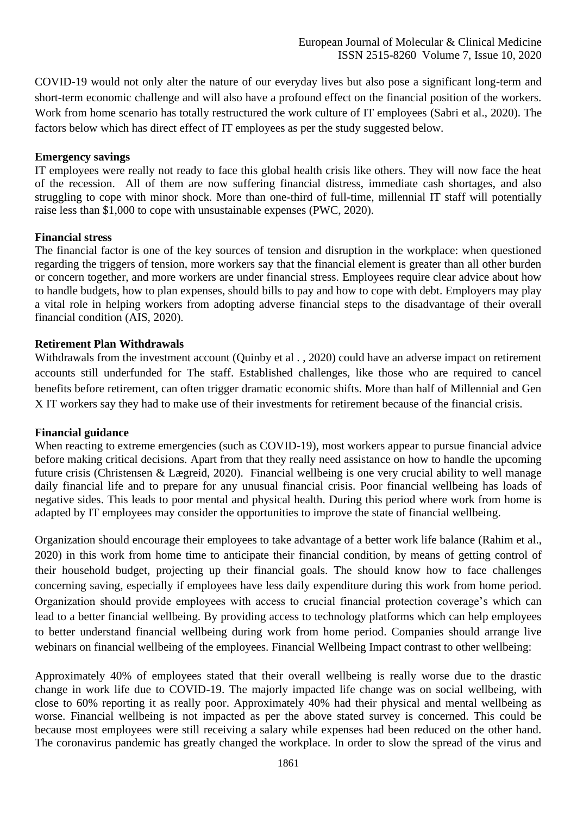COVID-19 would not only alter the nature of our everyday lives but also pose a significant long-term and short-term economic challenge and will also have a profound effect on the financial position of the workers. Work from home scenario has totally restructured the work culture of IT employees (Sabri et al., 2020). The factors below which has direct effect of IT employees as per the study suggested below.

#### **Emergency savings**

IT employees were really not ready to face this global health crisis like others. They will now face the heat of the recession. All of them are now suffering financial distress, immediate cash shortages, and also struggling to cope with minor shock. More than one-third of full-time, millennial IT staff will potentially raise less than \$1,000 to cope with unsustainable expenses (PWC, 2020).

#### **Financial stress**

The financial factor is one of the key sources of tension and disruption in the workplace: when questioned regarding the triggers of tension, more workers say that the financial element is greater than all other burden or concern together, and more workers are under financial stress. Employees require clear advice about how to handle budgets, how to plan expenses, should bills to pay and how to cope with debt. Employers may play a vital role in helping workers from adopting adverse financial steps to the disadvantage of their overall financial condition (AIS, 2020).

### **Retirement Plan Withdrawals**

Withdrawals from the investment account (Quinby et al., 2020) could have an adverse impact on retirement accounts still underfunded for The staff. Established challenges, like those who are required to cancel benefits before retirement, can often trigger dramatic economic shifts. More than half of Millennial and Gen X IT workers say they had to make use of their investments for retirement because of the financial crisis.

#### **Financial guidance**

When reacting to extreme emergencies (such as COVID-19), most workers appear to pursue financial advice before making critical decisions. Apart from that they really need assistance on how to handle the upcoming future crisis (Christensen & Lægreid, 2020). Financial wellbeing is one very crucial ability to well manage daily financial life and to prepare for any unusual financial crisis. Poor financial wellbeing has loads of negative sides. This leads to poor mental and physical health. During this period where work from home is adapted by IT employees may consider the opportunities to improve the state of financial wellbeing.

Organization should encourage their employees to take advantage of a better work life balance (Rahim et al., 2020) in this work from home time to anticipate their financial condition, by means of getting control of their household budget, projecting up their financial goals. The should know how to face challenges concerning saving, especially if employees have less daily expenditure during this work from home period. Organization should provide employees with access to crucial financial protection coverage's which can lead to a better financial wellbeing. By providing access to technology platforms which can help employees to better understand financial wellbeing during work from home period. Companies should arrange live webinars on financial wellbeing of the employees. Financial Wellbeing Impact contrast to other wellbeing:

Approximately 40% of employees stated that their overall wellbeing is really worse due to the drastic change in work life due to COVID-19. The majorly impacted life change was on social wellbeing, with close to 60% reporting it as really poor. Approximately 40% had their physical and mental wellbeing as worse. Financial wellbeing is not impacted as per the above stated survey is concerned. This could be because most employees were still receiving a salary while expenses had been reduced on the other hand. The coronavirus pandemic has greatly changed the workplace. In order to slow the spread of the virus and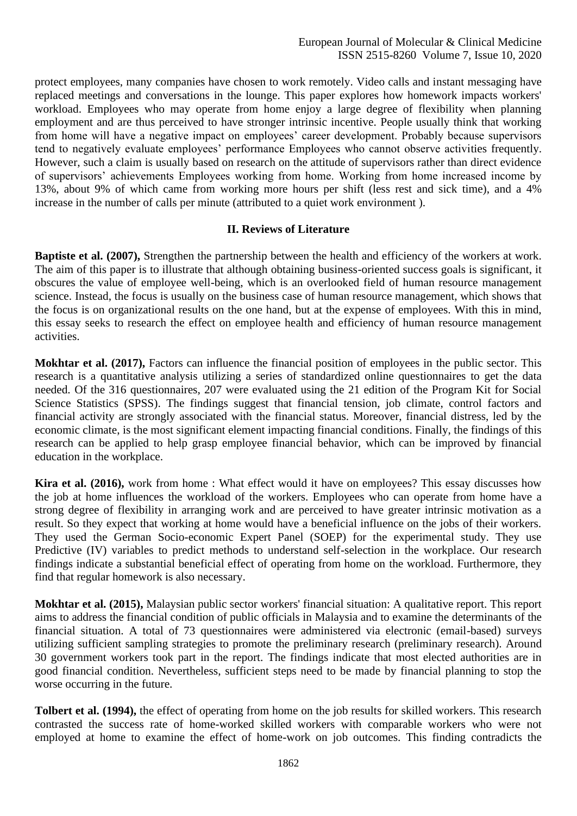protect employees, many companies have chosen to work remotely. Video calls and instant messaging have replaced meetings and conversations in the lounge. This paper explores how homework impacts workers' workload. Employees who may operate from home enjoy a large degree of flexibility when planning employment and are thus perceived to have stronger intrinsic incentive. People usually think that working from home will have a negative impact on employees' career development. Probably because supervisors tend to negatively evaluate employees' performance Employees who cannot observe activities frequently. However, such a claim is usually based on research on the attitude of supervisors rather than direct evidence of supervisors' achievements Employees working from home. Working from home increased income by 13%, about 9% of which came from working more hours per shift (less rest and sick time), and a 4% increase in the number of calls per minute (attributed to a quiet work environment ).

### **II. Reviews of Literature**

**Baptiste et al. (2007),** Strengthen the partnership between the health and efficiency of the workers at work. The aim of this paper is to illustrate that although obtaining business-oriented success goals is significant, it obscures the value of employee well-being, which is an overlooked field of human resource management science. Instead, the focus is usually on the business case of human resource management, which shows that the focus is on organizational results on the one hand, but at the expense of employees. With this in mind, this essay seeks to research the effect on employee health and efficiency of human resource management activities.

**Mokhtar et al. (2017),** Factors can influence the financial position of employees in the public sector. This research is a quantitative analysis utilizing a series of standardized online questionnaires to get the data needed. Of the 316 questionnaires, 207 were evaluated using the 21 edition of the Program Kit for Social Science Statistics (SPSS). The findings suggest that financial tension, job climate, control factors and financial activity are strongly associated with the financial status. Moreover, financial distress, led by the economic climate, is the most significant element impacting financial conditions. Finally, the findings of this research can be applied to help grasp employee financial behavior, which can be improved by financial education in the workplace.

**Kira et al. (2016),** work from home : What effect would it have on employees? This essay discusses how the job at home influences the workload of the workers. Employees who can operate from home have a strong degree of flexibility in arranging work and are perceived to have greater intrinsic motivation as a result. So they expect that working at home would have a beneficial influence on the jobs of their workers. They used the German Socio-economic Expert Panel (SOEP) for the experimental study. They use Predictive (IV) variables to predict methods to understand self-selection in the workplace. Our research findings indicate a substantial beneficial effect of operating from home on the workload. Furthermore, they find that regular homework is also necessary.

**Mokhtar et al. (2015),** Malaysian public sector workers' financial situation: A qualitative report. This report aims to address the financial condition of public officials in Malaysia and to examine the determinants of the financial situation. A total of 73 questionnaires were administered via electronic (email-based) surveys utilizing sufficient sampling strategies to promote the preliminary research (preliminary research). Around 30 government workers took part in the report. The findings indicate that most elected authorities are in good financial condition. Nevertheless, sufficient steps need to be made by financial planning to stop the worse occurring in the future.

**Tolbert et al. (1994),** the effect of operating from home on the job results for skilled workers. This research contrasted the success rate of home-worked skilled workers with comparable workers who were not employed at home to examine the effect of home-work on job outcomes. This finding contradicts the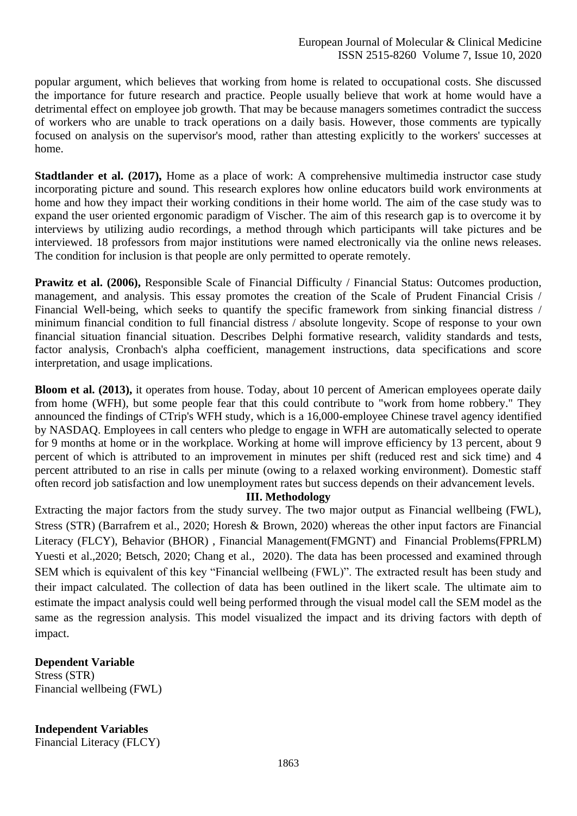popular argument, which believes that working from home is related to occupational costs. She discussed the importance for future research and practice. People usually believe that work at home would have a detrimental effect on employee job growth. That may be because managers sometimes contradict the success of workers who are unable to track operations on a daily basis. However, those comments are typically focused on analysis on the supervisor's mood, rather than attesting explicitly to the workers' successes at home.

**Stadtlander et al. (2017),** Home as a place of work: A comprehensive multimedia instructor case study incorporating picture and sound. This research explores how online educators build work environments at home and how they impact their working conditions in their home world. The aim of the case study was to expand the user oriented ergonomic paradigm of Vischer. The aim of this research gap is to overcome it by interviews by utilizing audio recordings, a method through which participants will take pictures and be interviewed. 18 professors from major institutions were named electronically via the online news releases. The condition for inclusion is that people are only permitted to operate remotely.

**Prawitz et al. (2006), Responsible Scale of Financial Difficulty / Financial Status: Outcomes production,** management, and analysis. This essay promotes the creation of the Scale of Prudent Financial Crisis / Financial Well-being, which seeks to quantify the specific framework from sinking financial distress / minimum financial condition to full financial distress / absolute longevity. Scope of response to your own financial situation financial situation. Describes Delphi formative research, validity standards and tests, factor analysis, Cronbach's alpha coefficient, management instructions, data specifications and score interpretation, and usage implications.

**Bloom et al. (2013),** it operates from house. Today, about 10 percent of American employees operate daily from home (WFH), but some people fear that this could contribute to "work from home robbery." They announced the findings of CTrip's WFH study, which is a 16,000-employee Chinese travel agency identified by NASDAQ. Employees in call centers who pledge to engage in WFH are automatically selected to operate for 9 months at home or in the workplace. Working at home will improve efficiency by 13 percent, about 9 percent of which is attributed to an improvement in minutes per shift (reduced rest and sick time) and 4 percent attributed to an rise in calls per minute (owing to a relaxed working environment). Domestic staff often record job satisfaction and low unemployment rates but success depends on their advancement levels.

### **III. Methodology**

Extracting the major factors from the study survey. The two major output as Financial wellbeing (FWL), Stress (STR) (Barrafrem et al., 2020; Horesh & Brown, 2020) whereas the other input factors are Financial Literacy (FLCY), Behavior (BHOR) , Financial Management(FMGNT) and Financial Problems(FPRLM) Yuesti et al.,2020; Betsch, 2020; Chang et al., 2020). The data has been processed and examined through SEM which is equivalent of this key "Financial wellbeing (FWL)". The extracted result has been study and their impact calculated. The collection of data has been outlined in the likert scale. The ultimate aim to estimate the impact analysis could well being performed through the visual model call the SEM model as the same as the regression analysis. This model visualized the impact and its driving factors with depth of impact.

## **Dependent Variable**

Stress (STR) Financial wellbeing (FWL)

**Independent Variables** Financial Literacy (FLCY)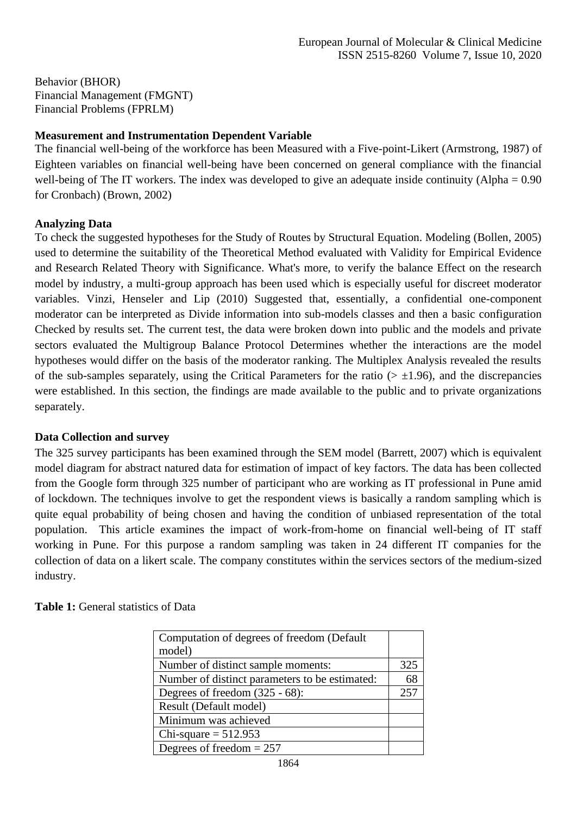Behavior (BHOR) Financial Management (FMGNT) Financial Problems (FPRLM)

### **Measurement and Instrumentation Dependent Variable**

The financial well-being of the workforce has been Measured with a Five-point-Likert (Armstrong, 1987) of Eighteen variables on financial well-being have been concerned on general compliance with the financial well-being of The IT workers. The index was developed to give an adequate inside continuity (Alpha = 0.90 for Cronbach) (Brown, 2002)

### **Analyzing Data**

To check the suggested hypotheses for the Study of Routes by Structural Equation. Modeling (Bollen, 2005) used to determine the suitability of the Theoretical Method evaluated with Validity for Empirical Evidence and Research Related Theory with Significance. What's more, to verify the balance Effect on the research model by industry, a multi-group approach has been used which is especially useful for discreet moderator variables. Vinzi, Henseler and Lip (2010) Suggested that, essentially, a confidential one-component moderator can be interpreted as Divide information into sub-models classes and then a basic configuration Checked by results set. The current test, the data were broken down into public and the models and private sectors evaluated the Multigroup Balance Protocol Determines whether the interactions are the model hypotheses would differ on the basis of the moderator ranking. The Multiplex Analysis revealed the results of the sub-samples separately, using the Critical Parameters for the ratio ( $> \pm 1.96$ ), and the discrepancies were established. In this section, the findings are made available to the public and to private organizations separately.

#### **Data Collection and survey**

The 325 survey participants has been examined through the SEM model (Barrett, 2007) which is equivalent model diagram for abstract natured data for estimation of impact of key factors. The data has been collected from the Google form through 325 number of participant who are working as IT professional in Pune amid of lockdown. The techniques involve to get the respondent views is basically a random sampling which is quite equal probability of being chosen and having the condition of unbiased representation of the total population. This article examines the impact of work-from-home on financial well-being of IT staff working in Pune. For this purpose a random sampling was taken in 24 different IT companies for the collection of data on a likert scale. The company constitutes within the services sectors of the medium-sized industry.

| Computation of degrees of freedom (Default)    |     |
|------------------------------------------------|-----|
| model)                                         |     |
| Number of distinct sample moments:             | 325 |
| Number of distinct parameters to be estimated: | 68  |
| Degrees of freedom $(325 - 68)$ :              | 257 |
| Result (Default model)                         |     |
| Minimum was achieved                           |     |
| Chi-square $= 512.953$                         |     |
| Degrees of freedom $= 257$                     |     |

**Table 1:** General statistics of Data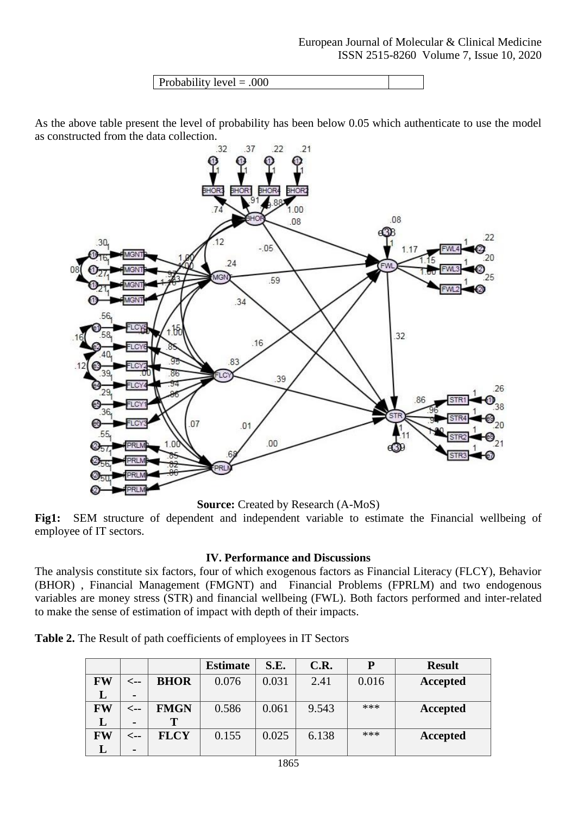| Probability level $= .000$ |
|----------------------------|
|----------------------------|

As the above table present the level of probability has been below 0.05 which authenticate to use the model as constructed from the data collection.



**Source:** Created by Research (A-MoS)

**Fig1:** SEM structure of dependent and independent variable to estimate the Financial wellbeing of employee of IT sectors.

### **IV. Performance and Discussions**

The analysis constitute six factors, four of which exogenous factors as Financial Literacy (FLCY), Behavior (BHOR) , Financial Management (FMGNT) and Financial Problems (FPRLM) and two endogenous variables are money stress (STR) and financial wellbeing (FWL). Both factors performed and inter-related to make the sense of estimation of impact with depth of their impacts.

|           |                |             | <b>Estimate</b> | S.E.  | C.R.  | P     | <b>Result</b> |
|-----------|----------------|-------------|-----------------|-------|-------|-------|---------------|
| <b>FW</b> | <--            | <b>BHOR</b> | 0.076           | 0.031 | 2.41  | 0.016 | Accepted      |
|           | $\blacksquare$ |             |                 |       |       |       |               |
| FW        | <--            | <b>FMGN</b> | 0.586           | 0.061 | 9.543 | ***   | Accepted      |
| L         | $\blacksquare$ | Т           |                 |       |       |       |               |
| FW        | <--            | <b>FLCY</b> | 0.155           | 0.025 | 6.138 | ***   | Accepted      |
|           | $\blacksquare$ |             |                 |       |       |       |               |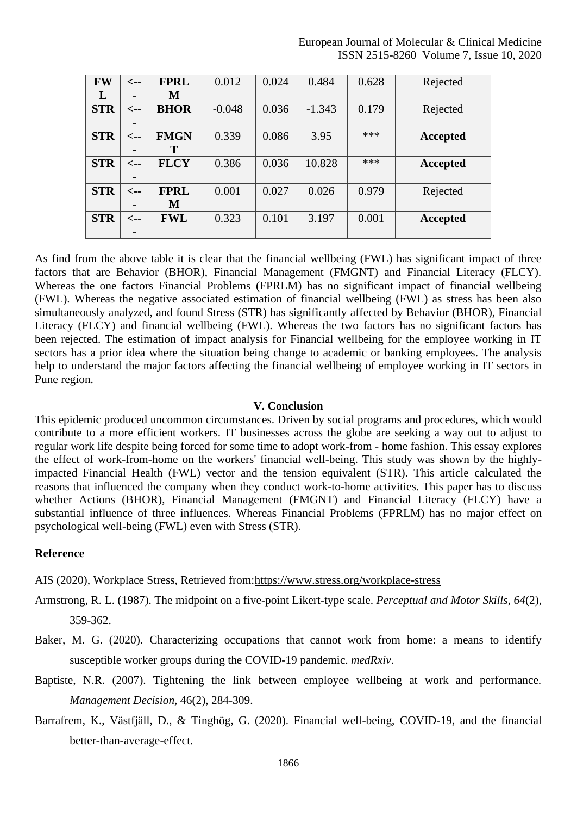#### European Journal of Molecular & Clinical Medicine ISSN 2515-8260 Volume 7, Issue 10, 2020

| FW         | $\leftarrow$    | <b>FPRL</b> | 0.012    | 0.024 | 0.484    | 0.628 | Rejected |
|------------|-----------------|-------------|----------|-------|----------|-------|----------|
| L          |                 | M           |          |       |          |       |          |
| <b>STR</b> | $\leftarrow$ -- | <b>BHOR</b> | $-0.048$ | 0.036 | $-1.343$ | 0.179 | Rejected |
|            |                 |             |          |       |          |       |          |
| <b>STR</b> | $\leftarrow$ -- | <b>FMGN</b> | 0.339    | 0.086 | 3.95     | ***   | Accepted |
|            |                 | т           |          |       |          |       |          |
| <b>STR</b> | <--             | <b>FLCY</b> | 0.386    | 0.036 | 10.828   | $***$ | Accepted |
|            |                 |             |          |       |          |       |          |
| <b>STR</b> | <--             | <b>FPRL</b> | 0.001    | 0.027 | 0.026    | 0.979 | Rejected |
|            |                 | M           |          |       |          |       |          |
| <b>STR</b> | <--             | <b>FWL</b>  | 0.323    | 0.101 | 3.197    | 0.001 | Accepted |
|            | ۰               |             |          |       |          |       |          |

As find from the above table it is clear that the financial wellbeing (FWL) has significant impact of three factors that are Behavior (BHOR), Financial Management (FMGNT) and Financial Literacy (FLCY). Whereas the one factors Financial Problems (FPRLM) has no significant impact of financial wellbeing (FWL). Whereas the negative associated estimation of financial wellbeing (FWL) as stress has been also simultaneously analyzed, and found Stress (STR) has significantly affected by Behavior (BHOR), Financial Literacy (FLCY) and financial wellbeing (FWL). Whereas the two factors has no significant factors has been rejected. The estimation of impact analysis for Financial wellbeing for the employee working in IT sectors has a prior idea where the situation being change to academic or banking employees. The analysis help to understand the major factors affecting the financial wellbeing of employee working in IT sectors in Pune region.

#### **V. Conclusion**

This epidemic produced uncommon circumstances. Driven by social programs and procedures, which would contribute to a more efficient workers. IT businesses across the globe are seeking a way out to adjust to regular work life despite being forced for some time to adopt work-from - home fashion. This essay explores the effect of work-from-home on the workers' financial well-being. This study was shown by the highlyimpacted Financial Health (FWL) vector and the tension equivalent (STR). This article calculated the reasons that influenced the company when they conduct work-to-home activities. This paper has to discuss whether Actions (BHOR), Financial Management (FMGNT) and Financial Literacy (FLCY) have a substantial influence of three influences. Whereas Financial Problems (FPRLM) has no major effect on psychological well-being (FWL) even with Stress (STR).

#### **Reference**

AIS (2020), Workplace Stress, Retrieved from[:https://www.stress.org/workplace-stress](https://www.stress.org/workplace-stress)

- Armstrong, R. L. (1987). The midpoint on a five-point Likert-type scale. *Perceptual and Motor Skills*, *64*(2), 359-362.
- Baker, M. G. (2020). Characterizing occupations that cannot work from home: a means to identify susceptible worker groups during the COVID-19 pandemic. *medRxiv*.
- Baptiste, N.R. (2007). Tightening the link between employee wellbeing at work and performance. *Management Decision,* 46(2), 284-309.
- Barrafrem, K., Västfjäll, D., & Tinghög, G. (2020). Financial well-being, COVID-19, and the financial better-than-average-effect.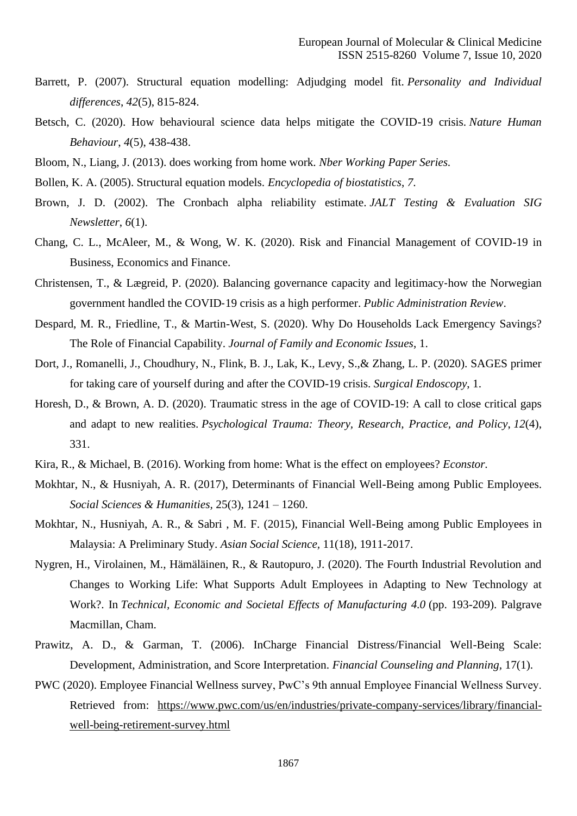- Barrett, P. (2007). Structural equation modelling: Adjudging model fit. *Personality and Individual differences*, *42*(5), 815-824.
- Betsch, C. (2020). How behavioural science data helps mitigate the COVID-19 crisis. *Nature Human Behaviour*, *4*(5), 438-438.
- Bloom, N., Liang, J. (2013). does working from home work. *Nber Working Paper Series.*
- Bollen, K. A. (2005). Structural equation models. *Encyclopedia of biostatistics*, *7*.
- Brown, J. D. (2002). The Cronbach alpha reliability estimate. *JALT Testing & Evaluation SIG Newsletter*, *6*(1).
- Chang, C. L., McAleer, M., & Wong, W. K. (2020). Risk and Financial Management of COVID-19 in Business, Economics and Finance.
- Christensen, T., & Lægreid, P. (2020). Balancing governance capacity and legitimacy‐how the Norwegian government handled the COVID‐19 crisis as a high performer. *Public Administration Review*.
- Despard, M. R., Friedline, T., & Martin-West, S. (2020). Why Do Households Lack Emergency Savings? The Role of Financial Capability. *Journal of Family and Economic Issues*, 1.
- Dort, J., Romanelli, J., Choudhury, N., Flink, B. J., Lak, K., Levy, S.,& Zhang, L. P. (2020). SAGES primer for taking care of yourself during and after the COVID-19 crisis. *Surgical Endoscopy*, 1.
- Horesh, D., & Brown, A. D. (2020). Traumatic stress in the age of COVID-19: A call to close critical gaps and adapt to new realities. *Psychological Trauma: Theory, Research, Practice, and Policy*, *12*(4), 331.
- Kira, R., & Michael, B. (2016). Working from home: What is the effect on employees? *Econstor.*
- Mokhtar, N., & Husniyah, A. R. (2017), Determinants of Financial Well-Being among Public Employees. *Social Sciences & Humanities,* 25(3), 1241 – 1260.
- Mokhtar, N., Husniyah, A. R., & Sabri , M. F. (2015), Financial Well-Being among Public Employees in Malaysia: A Preliminary Study. *Asian Social Science,* 11(18), 1911-2017.
- Nygren, H., Virolainen, M., Hämäläinen, R., & Rautopuro, J. (2020). The Fourth Industrial Revolution and Changes to Working Life: What Supports Adult Employees in Adapting to New Technology at Work?. In *Technical, Economic and Societal Effects of Manufacturing 4.0* (pp. 193-209). Palgrave Macmillan, Cham.
- Prawitz, A. D., & Garman, T. (2006). InCharge Financial Distress/Financial Well-Being Scale: Development, Administration, and Score Interpretation. *Financial Counseling and Planning,* 17(1).
- PWC [\(2020\). Employee Financial Wellness survey,](https://www.pwc.com/us/en/industries/private-company-services/library/financial-well-being-retirement-survey.html) PwC's 9th annual Employee Financial Wellness Survey. Retrieved from: [https://www.pwc.com/us/en/industries/private-company-services/library/financial](https://www.pwc.com/us/en/industries/private-company-services/library/financial-well-being-retirement-survey.html)[well-being-retirement-survey.html](https://www.pwc.com/us/en/industries/private-company-services/library/financial-well-being-retirement-survey.html)